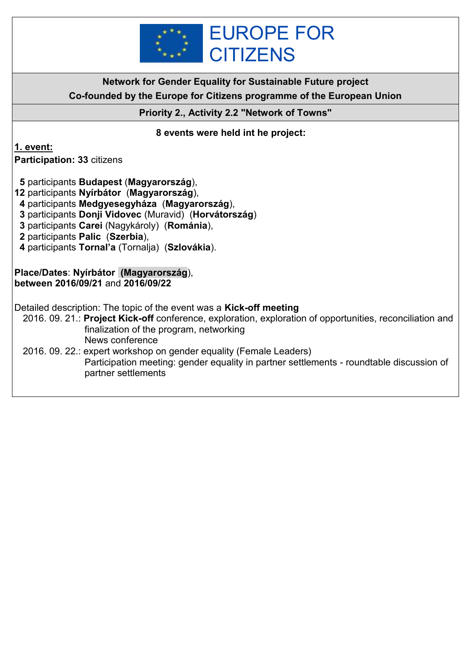

**Network for Gender Equality for Sustainable Future project Co-founded by the Europe for Citizens programme of the European Union**

**Priority 2., Activity 2.2 "Network of Towns"**

### **8 events were held int he project:**

**1. event:**

**Participation: 33** citizens

 **5** participants **Budapest** (**Magyarország**),

- **12** participants **Nyírbátor** (**Magyarország**),
- **4** participants **Medgyesegyháza** (**Magyarország**),
- **3** participants **Donji Vidovec** (Muravid) (**Horvátország**)
- **3** participants **Carei** (Nagykároly) (**Románia**),
- **2** participants **Palic** (**Szerbia**),
- **4** participants **Tornal'a** (Tornalja) (**Szlovákia**).

#### **Place/Dates**: **Nyírbátor (Magyarország**), **between 2016/09/21** and **2016/09/22**

Detailed description: The topic of the event was a **Kick-off meeting**

- 2016. 09. 21.: **Project Kick-off** conference, exploration, exploration of opportunities, reconciliation and finalization of the program, networking News conference
- 2016. 09. 22.: expert workshop on gender equality (Female Leaders) Participation meeting: gender equality in partner settlements - roundtable discussion of partner settlements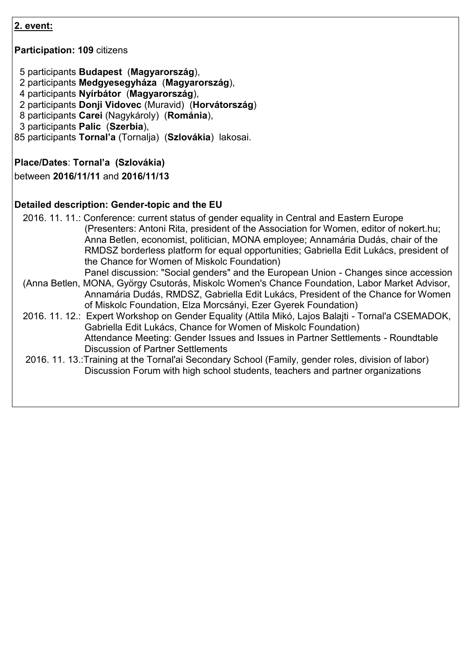**Participation: 109** citizens

5 participants **Budapest** (**Magyarország**),

- 2 participants **Medgyesegyháza** (**Magyarország**),
- 4 participants **Nyírbátor** (**Magyarország**),
- 2 participants **Donji Vidovec** (Muravid) (**Horvátország**)
- 8 participants **Carei** (Nagykároly) (**Románia**),
- 3 participants **Palic** (**Szerbia**),
- 85 participants **Tornal'a** (Tornalja) (**Szlovákia**) lakosai.

#### **Place/Dates**: **Tornal'a (Szlovákia)**

between **2016/11/11** and **2016/11/13**

#### **Detailed description: Gender-topic and the EU**

2016. 11. 11.: Conference: current status of gender equality in Central and Eastern Europe (Presenters: Antoni Rita, president of the Association for Women, editor of nokert.hu; Anna Betlen, economist, politician, MONA employee; Annamária Dudás, chair of the RMDSZ borderless platform for equal opportunities; Gabriella Edit Lukács, president of the Chance for Women of Miskolc Foundation)

Panel discussion: "Social genders" and the European Union - Changes since accession

- (Anna Betlen, MONA, György Csutorás, Miskolc Women's Chance Foundation, Labor Market Advisor, Annamária Dudás, RMDSZ, Gabriella Edit Lukács, President of the Chance for Women of Miskolc Foundation, Elza Morcsányi, Ezer Gyerek Foundation)
- 2016. 11. 12.: Expert Workshop on Gender Equality (Attila Mikó, Lajos Balajti Tornal'a CSEMADOK, Gabriella Edit Lukács, Chance for Women of Miskolc Foundation) Attendance Meeting: Gender Issues and Issues in Partner Settlements - Roundtable Discussion of Partner Settlements
- 2016. 11. 13.:Training at the Tornal'ai Secondary School (Family, gender roles, division of labor) Discussion Forum with high school students, teachers and partner organizations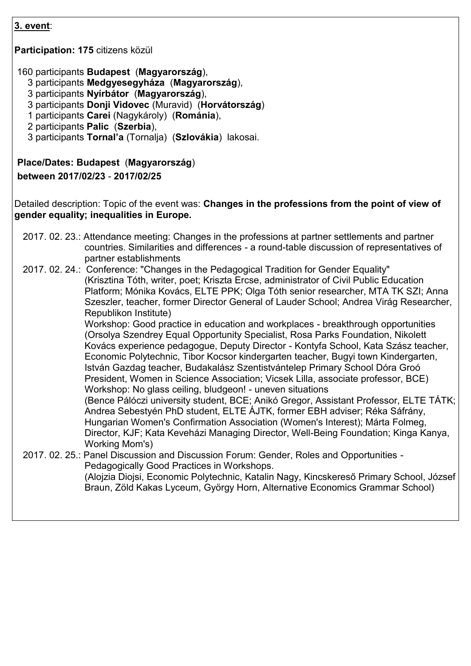**Participation: 175** citizens közül

160 participants **Budapest** (**Magyarország**),

- 3 participants **Medgyesegyháza** (**Magyarország**),
- 3 participants **Nyírbátor** (**Magyarország**),
- 3 participants **Donji Vidovec** (Muravid) (**Horvátország**)
- 1 participants **Carei** (Nagykároly) (**Románia**),
- 2 participants **Palic** (**Szerbia**),
- 3 participants **Tornal'a** (Tornalja) (**Szlovákia**) lakosai.

#### **Place/Dates: Budapest** (**Magyarország**)

#### **between 2017/02/23** - **2017/02/25**

Detailed description: Topic of the event was: **Changes in the professions from the point of view of gender equality; inequalities in Europe.**

- 2017. 02. 23.: Attendance meeting: Changes in the professions at partner settlements and partner countries. Similarities and differences - a round-table discussion of representatives of partner establishments
- 2017. 02. 24.: Conference: "Changes in the Pedagogical Tradition for Gender Equality" (Krisztina Tóth, writer, poet; Kriszta Ercse, administrator of Civil Public Education Platform; Mónika Kovács, ELTE PPK; Olga Tóth senior researcher, MTA TK SZI; Anna Szeszler, teacher, former Director General of Lauder School; Andrea Virág Researcher, Republikon Institute)

Workshop: Good practice in education and workplaces - breakthrough opportunities (Orsolya Szendrey Equal Opportunity Specialist, Rosa Parks Foundation, Nikolett Kovács experience pedagogue, Deputy Director - Kontyfa School, Kata Szász teacher, Economic Polytechnic, Tibor Kocsor kindergarten teacher, Bugyi town Kindergarten, István Gazdag teacher, Budakalász Szentistvántelep Primary School Dóra Groó President, Women in Science Association; Vicsek Lilla, associate professor, BCE) Workshop: No glass ceiling, bludgeon! - uneven situations

(Bence Pálóczi university student, BCE; Anikó Gregor, Assistant Professor, ELTE TÁTK; Andrea Sebestyén PhD student, ELTE ÁJTK, former EBH adviser; Réka Sáfrány, Hungarian Women's Confirmation Association (Women's Interest); Márta Folmeg, Director, KJF; Kata Keveházi Managing Director, Well-Being Foundation; Kinga Kanya, Working Mom's)

2017. 02. 25.: Panel Discussion and Discussion Forum: Gender, Roles and Opportunities - Pedagogically Good Practices in Workshops. (Alojzia Diojsi, Economic Polytechnic, Katalin Nagy, Kincskereső Primary School, József Braun, Zöld Kakas Lyceum, György Horn, Alternative Economics Grammar School)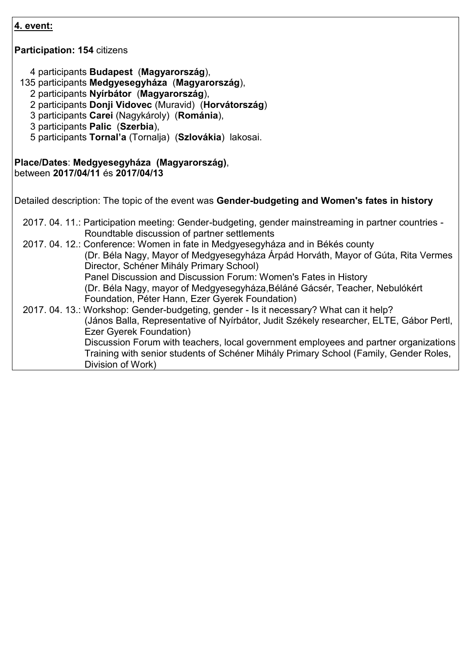| 4. event:                                                                                                                                                                                                                                                                                                                                     |
|-----------------------------------------------------------------------------------------------------------------------------------------------------------------------------------------------------------------------------------------------------------------------------------------------------------------------------------------------|
| <b>Participation: 154 citizens</b>                                                                                                                                                                                                                                                                                                            |
| 4 participants Budapest (Magyarország),<br>135 participants Medgyesegyháza (Magyarország),<br>2 participants Nyírbátor (Magyarország),<br>2 participants Donji Vidovec (Muravid) (Horvátország)<br>3 participants Carei (Nagykároly) (Románia),<br>3 participants Palic (Szerbia),<br>5 participants Tornal'a (Tornalja) (Szlovákia) lakosai. |
| Place/Dates: Medgyesegyháza (Magyarország),<br>between 2017/04/11 és 2017/04/13                                                                                                                                                                                                                                                               |
| Detailed description: The topic of the event was Gender-budgeting and Women's fates in history                                                                                                                                                                                                                                                |
| 2017. 04. 11.: Participation meeting: Gender-budgeting, gender mainstreaming in partner countries -<br>Roundtable discussion of partner settlements                                                                                                                                                                                           |
| 2017. 04. 12.: Conference: Women in fate in Medgyesegyháza and in Békés county<br>(Dr. Béla Nagy, Mayor of Medgyesegyháza Árpád Horváth, Mayor of Gúta, Rita Vermes<br>Director, Schéner Mihály Primary School)                                                                                                                               |
| Panel Discussion and Discussion Forum: Women's Fates in History<br>(Dr. Béla Nagy, mayor of Medgyesegyháza, Béláné Gácsér, Teacher, Nebulókért<br>Foundation, Péter Hann, Ezer Gyerek Foundation)                                                                                                                                             |
| 2017. 04. 13.: Workshop: Gender-budgeting, gender - Is it necessary? What can it help?<br>(János Balla, Representative of Nyírbátor, Judit Székely researcher, ELTE, Gábor Pertl,                                                                                                                                                             |
| <b>Ezer Gyerek Foundation)</b><br>Discussion Forum with teachers, local government employees and partner organizations<br>Training with senior students of Schéner Mihály Primary School (Family, Gender Roles,<br>Division of Work)                                                                                                          |
|                                                                                                                                                                                                                                                                                                                                               |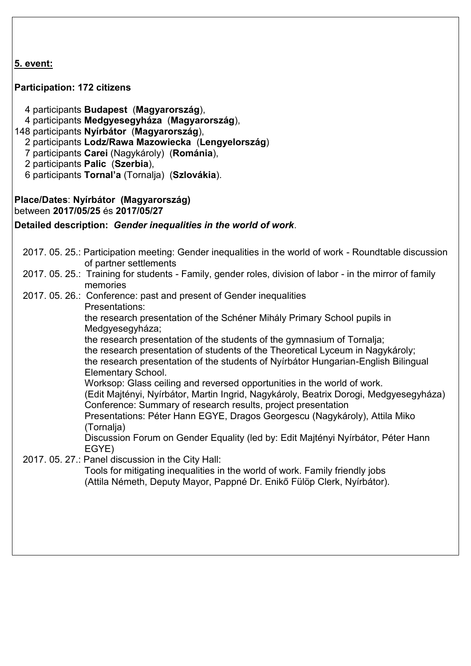## **Participation: 172 citizens**

- 4 participants **Budapest** (**Magyarország**),
- 4 participants **Medgyesegyháza** (**Magyarország**),
- 148 participants **Nyírbátor** (**Magyarország**),
	- 2 participants **Lodz/Rawa Mazowiecka** (**Lengyelország**)
	- 7 participants **Carei** (Nagykároly) (**Románia**),
	- 2 participants **Palic** (**Szerbia**),
	- 6 participants **Tornal'a** (Tornalja) (**Szlovákia**).

#### **Place/Dates**: **Nyírbátor (Magyarország)** between **2017/05/25** és **2017/05/27**

**Detailed description:** *Gender inequalities in the world of work*.

- 2017. 05. 25.: Participation meeting: Gender inequalities in the world of work Roundtable discussion of partner settlements
- 2017. 05. 25.: Training for students Family, gender roles, division of labor in the mirror of family memories
- 2017. 05. 26.: Conference: past and present of Gender inequalities
	- Presentations:

the research presentation of the Schéner Mihály Primary School pupils in Medgyesegyháza:

the research presentation of the students of the gymnasium of Tornalja; the research presentation of students of the Theoretical Lyceum in Nagykároly; the research presentation of the students of Nyírbátor Hungarian-English Bilingual Elementary School.

Worksop: Glass ceiling and reversed opportunities in the world of work. (Edit Majtényi, Nyírbátor, Martin Ingrid, Nagykároly, Beatrix Dorogi, Medgyesegyháza) Conference: Summary of research results, project presentation

Presentations: Péter Hann EGYE, Dragos Georgescu (Nagykároly), Attila Miko (Tornalja)

Discussion Forum on Gender Equality (led by: Edit Majtényi Nyírbátor, Péter Hann EGYE)

2017. 05. 27.: Panel discussion in the City Hall:

Tools for mitigating inequalities in the world of work. Family friendly jobs (Attila Németh, Deputy Mayor, Pappné Dr. Enikő Fülöp Clerk, Nyírbátor).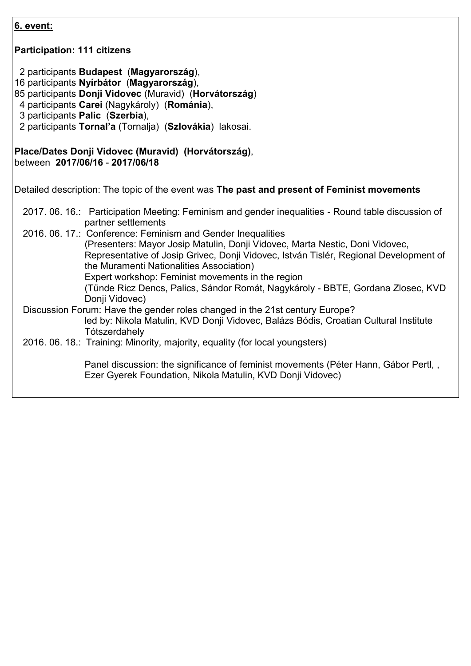| <u>6. event:</u>                                                                                                                                                                                                                                                                                                                      |
|---------------------------------------------------------------------------------------------------------------------------------------------------------------------------------------------------------------------------------------------------------------------------------------------------------------------------------------|
| <b>Participation: 111 citizens</b>                                                                                                                                                                                                                                                                                                    |
| 2 participants Budapest (Magyarország),<br>16 participants Nyírbátor (Magyarország),<br>85 participants Donji Vidovec (Muravid) (Horvátország)<br>4 participants Carei (Nagykároly) (Románia),<br>3 participants Palic (Szerbia),<br>2 participants Tornal'a (Tornalja) (Szlovákia) lakosai.                                          |
| Place/Dates Donji Vidovec (Muravid) (Horvátország),<br>between 2017/06/16 - 2017/06/18                                                                                                                                                                                                                                                |
| Detailed description: The topic of the event was The past and present of Feminist movements                                                                                                                                                                                                                                           |
| 2017. 06. 16.: Participation Meeting: Feminism and gender inequalities - Round table discussion of<br>partner settlements                                                                                                                                                                                                             |
| 2016. 06. 17.: Conference: Feminism and Gender Inequalities<br>(Presenters: Mayor Josip Matulin, Donji Vidovec, Marta Nestic, Doni Vidovec,<br>Representative of Josip Grivec, Donji Vidovec, István Tislér, Regional Development of<br>the Muramenti Nationalities Association)<br>Expert workshop: Feminist movements in the region |
| (Tünde Ricz Dencs, Palics, Sándor Romát, Nagykároly - BBTE, Gordana Zlosec, KVD<br>Donji Vidovec)                                                                                                                                                                                                                                     |
| Discussion Forum: Have the gender roles changed in the 21st century Europe?<br>led by: Nikola Matulin, KVD Donji Vidovec, Balázs Bódis, Croatian Cultural Institute<br>Tótszerdahely                                                                                                                                                  |
| 2016. 06. 18.: Training: Minority, majority, equality (for local youngsters)                                                                                                                                                                                                                                                          |
| Panel discussion: the significance of feminist movements (Péter Hann, Gábor Pertl,,<br>Ezer Gyerek Foundation, Nikola Matulin, KVD Donji Vidovec)                                                                                                                                                                                     |
|                                                                                                                                                                                                                                                                                                                                       |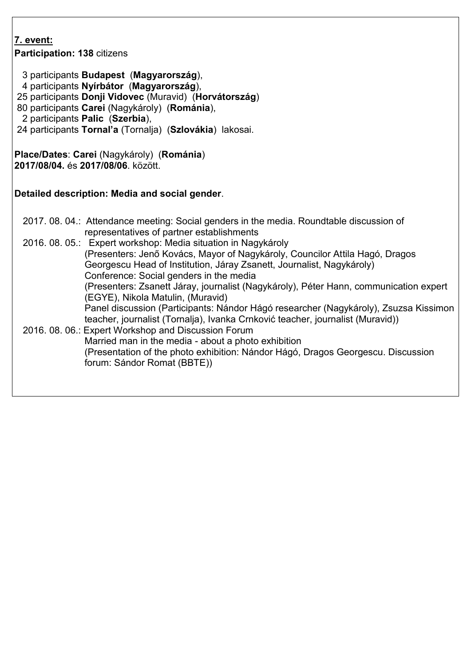| 7. event:<br>Participation: 138 citizens                                                                                                                                                                                                                                                                                                                   |  |
|------------------------------------------------------------------------------------------------------------------------------------------------------------------------------------------------------------------------------------------------------------------------------------------------------------------------------------------------------------|--|
| 3 participants Budapest (Magyarország),<br>4 participants Nyírbátor (Magyarország),<br>25 participants Donji Vidovec (Muravid) (Horvátország)<br>80 participants Carei (Nagykároly) (Románia),<br>2 participants Palic (Szerbia),<br>24 participants Tornal'a (Tornalja) (Szlovákia) lakosai.                                                              |  |
| Place/Dates: Carei (Nagykároly) (Románia)<br>2017/08/04. és 2017/08/06. között.                                                                                                                                                                                                                                                                            |  |
| Detailed description: Media and social gender.                                                                                                                                                                                                                                                                                                             |  |
| 2017. 08. 04.: Attendance meeting: Social genders in the media. Roundtable discussion of<br>representatives of partner establishments                                                                                                                                                                                                                      |  |
| 2016. 08. 05.: Expert workshop: Media situation in Nagykároly<br>(Presenters: Jenő Kovács, Mayor of Nagykároly, Councilor Attila Hagó, Dragos<br>Georgescu Head of Institution, Járay Zsanett, Journalist, Nagykároly)<br>Conference: Social genders in the media<br>(Presenters: Zsanett Járay, journalist (Nagykároly), Péter Hann, communication expert |  |
| (EGYE), Nikola Matulin, (Muravid)<br>Panel discussion (Participants: Nándor Hágó researcher (Nagykároly), Zsuzsa Kissimon                                                                                                                                                                                                                                  |  |
| teacher, journalist (Tornalja), Ivanka Crnković teacher, journalist (Muravid))<br>2016. 08. 06.: Expert Workshop and Discussion Forum<br>Married man in the media - about a photo exhibition<br>(Presentation of the photo exhibition: Nándor Hágó, Dragos Georgescu. Discussion<br>forum: Sándor Romat (BBTE))                                            |  |
|                                                                                                                                                                                                                                                                                                                                                            |  |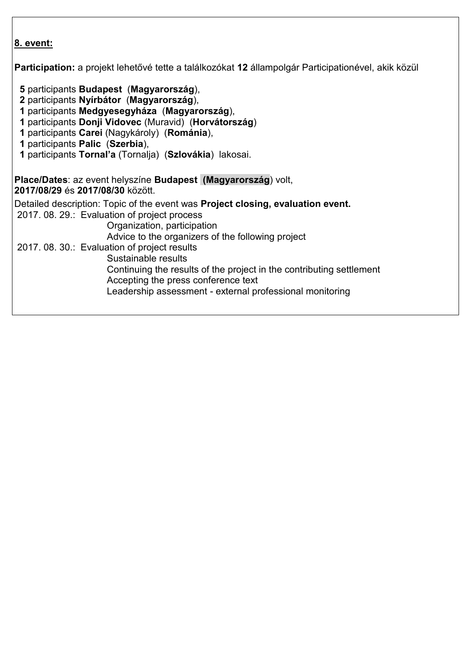**Participation:** a projekt lehetővé tette a találkozókat **12** állampolgár Participationével, akik közül

- **5** participants **Budapest** (**Magyarország**),
- **2** participants **Nyírbátor** (**Magyarország**),
- **1** participants **Medgyesegyháza** (**Magyarország**),
- **1** participants **Donji Vidovec** (Muravid) (**Horvátország**)
- **1** participants **Carei** (Nagykároly) (**Románia**),
- **1** participants **Palic** (**Szerbia**),
- **1** participants **Tornal'a** (Tornalja) (**Szlovákia**) lakosai.

**Place/Dates**: az event helyszíne **Budapest (Magyarország**) volt, **2017/08/29** és **2017/08/30** között. Detailed description: Topic of the event was **Project closing, evaluation event.** 2017. 08. 29.: Evaluation of project process Organization, participation Advice to the organizers of the following project 2017. 08. 30.: Evaluation of project results Sustainable results Continuing the results of the project in the contributing settlement Accepting the press conference text Leadership assessment - external professional monitoring